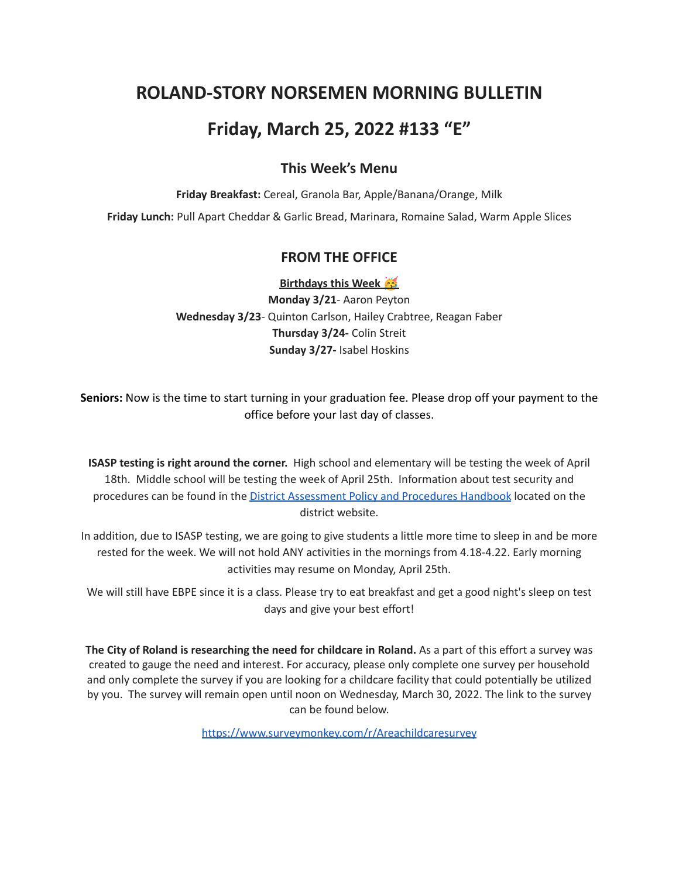# **ROLAND-STORY NORSEMEN MORNING BULLETIN**

# **Friday, March 25, 2022 #133 "E"**

### **This Week's Menu**

**Friday Breakfast:** Cereal, Granola Bar, Apple/Banana/Orange, Milk

**Friday Lunch:** Pull Apart Cheddar & Garlic Bread, Marinara, Romaine Salad, Warm Apple Slices

#### **FROM THE OFFICE**

**Birthdays this Week**

**Monday 3/21**- Aaron Peyton **Wednesday 3/23**- Quinton Carlson, Hailey Crabtree, Reagan Faber **Thursday 3/24-** Colin Streit **Sunday 3/27-** Isabel Hoskins

**Seniors:** Now is the time to start turning in your graduation fee. Please drop off your payment to the office before your last day of classes.

**ISASP testing is right around the corner.** High school and elementary will be testing the week of April 18th. Middle school will be testing the week of April 25th. Information about test security and procedures can be found in the District [Assessment](https://rolandstory.school/media/Michelle%20Soderstrum/RSCSD_District_Assessment_Poli%20-%20Copy%203.pdf) Policy and Procedures Handbook located on the district website.

In addition, due to ISASP testing, we are going to give students a little more time to sleep in and be more rested for the week. We will not hold ANY activities in the mornings from 4.18-4.22. Early morning activities may resume on Monday, April 25th.

We will still have EBPE since it is a class. Please try to eat breakfast and get a good night's sleep on test days and give your best effort!

**The City of Roland is researching the need for childcare in Roland.** As a part of this effort a survey was created to gauge the need and interest. For accuracy, please only complete one survey per household and only complete the survey if you are looking for a childcare facility that could potentially be utilized by you. The survey will remain open until noon on Wednesday, March 30, 2022. The link to the survey can be found below.

<https://www.surveymonkey.com/r/Areachildcaresurvey>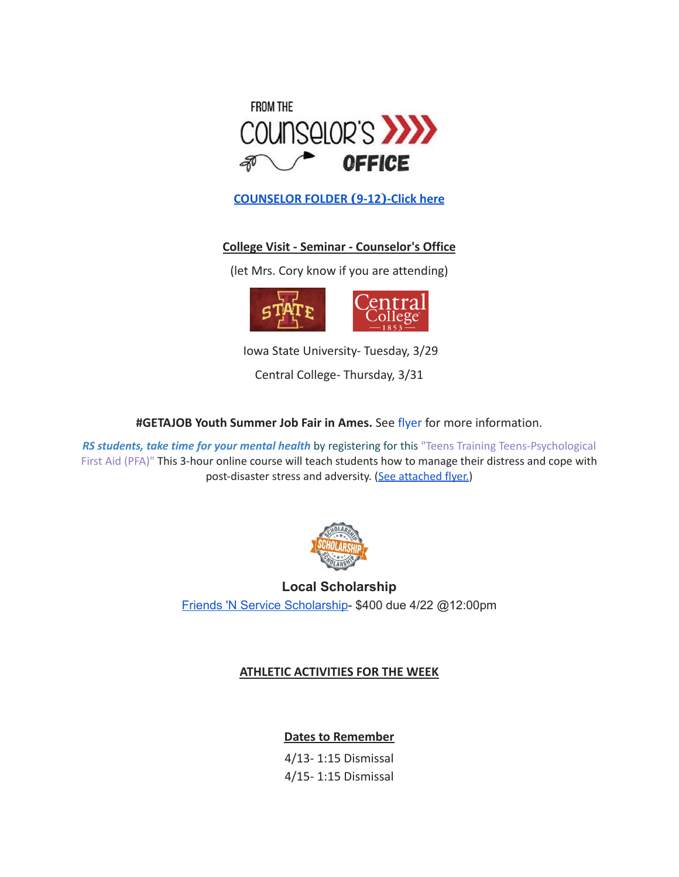

**[COUNSELOR FOLDER](https://docs.google.com/document/d/1vmwczNPbDzXe9vFaG5LJMQ7NYDv-i4oQJHybqA65TUc/edit?usp=sharing) (9-12)-Click here**

### **College Visit - Seminar - Counselor's Office**

(let Mrs. Cory know if you are attending)



Iowa State University- Tuesday, 3/29

Central College- Thursday, 3/31

**#GETAJOB Youth Summer Job Fair in Ames.** See [flyer](https://drive.google.com/file/d/19PRxPHgJE0Wyssa45Q2YrSued6K3SDaH/view?usp=sharing) for more information.

*RS students, take time for your mental health* by registering for this "Teens Training Teens-Psychological First Aid (PFA)" This 3-hour online course will teach students how to manage their distress and cope with post-disaster stress and adversity. (See [attached](https://drive.google.com/file/d/18ZxsDgb9mTVccDP5AD1ejwqoEi1MNUwE/view?usp=sharing) flyer.)



**Local Scholarship** Friends 'N Service [Scholarship-](https://docs.google.com/document/d/1YxuVTwJ-CIinoMlmP1qQKGAZsTg1ZqAjS9JUfoK-CpY/edit?usp=sharing) \$400 due 4/22 @12:00pm

#### **ATHLETIC ACTIVITIES FOR THE WEEK**

**Dates to Remember**

4/13- 1:15 Dismissal 4/15- 1:15 Dismissal